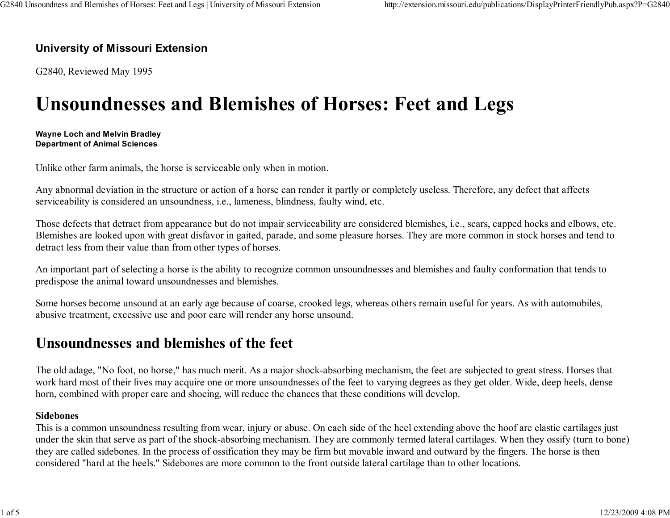## University of Missouri Extension

G2840, Reviewed May 1995

## Unsoundnesses and Blemishes of Horses: Feet and Legs

#### Wayne Loch and Melvin BradleyDepartment of Animal Sciences

Unlike other farm animals, the horse is serviceable only when in motion.

Any abnormal deviation in the structure or action of a horse can render it partly or completely useless. Therefore, any defect that affectsserviceability is considered an unsoundness, i.e., lameness, blindness, faulty wind, etc.

Those defects that detract from appearance but do not impair serviceability are considered blemishes, i.e., scars, capped hocks and elbows, etc. Blemishes are looked upon with great disfavor in gaited, parade, and some pleasure horses. They are more common in stock horses and tend todetract less from their value than from other types of horses.

An important part of selecting a horse is the ability to recognize common unsoundnesses and blemishes and faulty conformation that tends topredispose the animal toward unsoundnesses and blemishes.

Some horses become unsound at an early age because of coarse, crooked legs, whereas others remain useful for years. As with automobiles,abusive treatment, excessive use and poor care will render any horse unsound.

## Unsoundnesses and blemishes of the feet

The old adage, "No foot, no horse," has much merit. As a major shock-absorbing mechanism, the feet are subjected to great stress. Horses that work hard most of their lives may acquire one or more unsoundnesses of the feet to varying degrees as they get older. Wide, deep heels, densehorn, combined with proper care and shoeing, will reduce the chances that these conditions will develop.

## Sidebones

 This is a common unsoundness resulting from wear, injury or abuse. On each side of the heel extending above the hoof are elastic cartilages just under the skin that serve as part of the shock-absorbing mechanism. They are commonly termed lateral cartilages. When they ossify (turn to bone)they are called sidebones. In the process of ossification they may be firm but movable inward and outward by the fingers. The horse is thenconsidered "hard at the heels." Sidebones are more common to the front outside lateral cartilage than to other locations.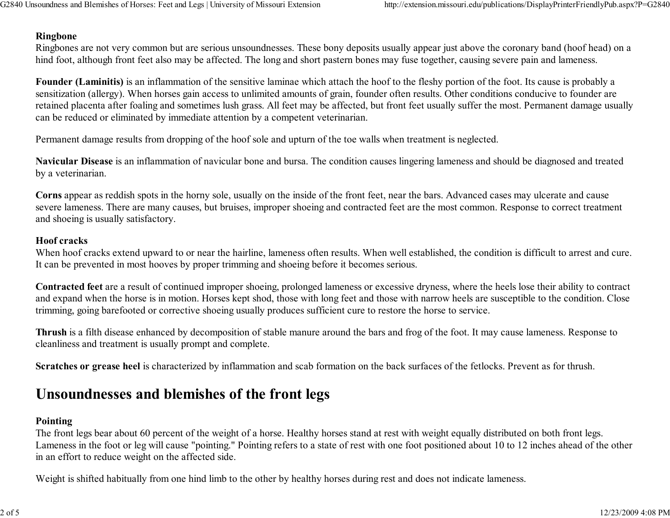## Ringbone

 Ringbones are not very common but are serious unsoundnesses. These bony deposits usually appear just above the coronary band (hoof head) on ahind foot, although front feet also may be affected. The long and short pastern bones may fuse together, causing severe pain and lameness.

Founder (Laminitis) is an inflammation of the sensitive laminae which attach the hoof to the fleshy portion of the foot. Its cause is probably a sensitization (allergy). When horses gain access to unlimited amounts of grain, founder often results. Other conditions conducive to founder are retained placenta after foaling and sometimes lush grass. All feet may be affected, but front feet usually suffer the most. Permanent damage usuallycan be reduced or eliminated by immediate attention by a competent veterinarian.

Permanent damage results from dropping of the hoof sole and upturn of the toe walls when treatment is neglected.

Navicular Disease is an inflammation of navicular bone and bursa. The condition causes lingering lameness and should be diagnosed and treatedby a veterinarian.

Corns appear as reddish spots in the horny sole, usually on the inside of the front feet, near the bars. Advanced cases may ulcerate and cause severe lameness. There are many causes, but bruises, improper shoeing and contracted feet are the most common. Response to correct treatmentand shoeing is usually satisfactory.

## Hoof cracks

 When hoof cracks extend upward to or near the hairline, lameness often results. When well established, the condition is difficult to arrest and cure.It can be prevented in most hooves by proper trimming and shoeing before it becomes serious.

Contracted feet are a result of continued improper shoeing, prolonged lameness or excessive dryness, where the heels lose their ability to contract and expand when the horse is in motion. Horses kept shod, those with long feet and those with narrow heels are susceptible to the condition. Closetrimming, going barefooted or corrective shoeing usually produces sufficient cure to restore the horse to service.

Thrush is a filth disease enhanced by decomposition of stable manure around the bars and frog of the foot. It may cause lameness. Response tocleanliness and treatment is usually prompt and complete.

Scratches or grease heel is characterized by inflammation and scab formation on the back surfaces of the fetlocks. Prevent as for thrush.

## Unsoundnesses and blemishes of the front legs

## Pointing

 The front legs bear about 60 percent of the weight of a horse. Healthy horses stand at rest with weight equally distributed on both front legs. Lameness in the foot or leg will cause "pointing." Pointing refers to a state of rest with one foot positioned about 10 to 12 inches ahead of the otherin an effort to reduce weight on the affected side.

Weight is shifted habitually from one hind limb to the other by healthy horses during rest and does not indicate lameness.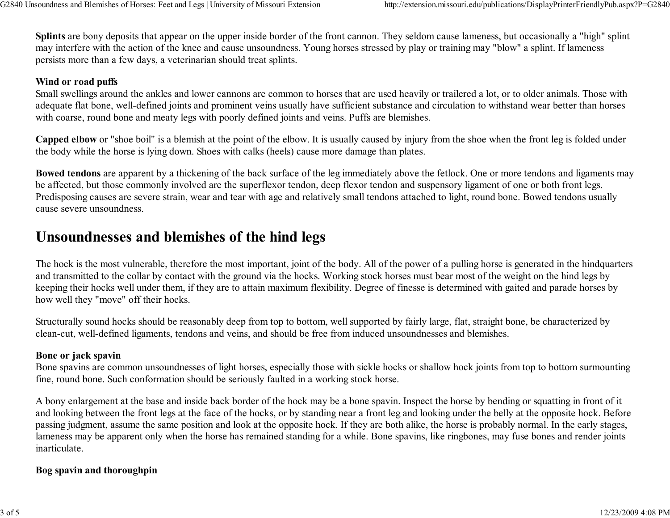Splints are bony deposits that appear on the upper inside border of the front cannon. They seldom cause lameness, but occasionally a "high" splintmay interfere with the action of the knee and cause unsoundness. Young horses stressed by play or training may "blow" a splint. If lamenesspersists more than a few days, a veterinarian should treat splints.

## Wind or road puffs

 Small swellings around the ankles and lower cannons are common to horses that are used heavily or trailered a lot, or to older animals. Those with adequate flat bone, well-defined joints and prominent veins usually have sufficient substance and circulation to withstand wear better than horseswith coarse, round bone and meaty legs with poorly defined joints and veins. Puffs are blemishes.

Capped elbow or "shoe boil" is a blemish at the point of the elbow. It is usually caused by injury from the shoe when the front leg is folded underthe body while the horse is lying down. Shoes with calks (heels) cause more damage than plates.

Bowed tendons are apparent by a thickening of the back surface of the leg immediately above the fetlock. One or more tendons and ligaments maybe affected, but those commonly involved are the superflexor tendon, deep flexor tendon and suspensory ligament of one or both front legs. Predisposing causes are severe strain, wear and tear with age and relatively small tendons attached to light, round bone. Bowed tendons usuallycause severe unsoundness.

## Unsoundnesses and blemishes of the hind legs

The hock is the most vulnerable, therefore the most important, joint of the body. All of the power of a pulling horse is generated in the hindquartersand transmitted to the collar by contact with the ground via the hocks. Working stock horses must bear most of the weight on the hind legs by keeping their hocks well under them, if they are to attain maximum flexibility. Degree of finesse is determined with gaited and parade horses byhow well they "move" off their hocks.

Structurally sound hocks should be reasonably deep from top to bottom, well supported by fairly large, flat, straight bone, be characterized byclean-cut, well-defined ligaments, tendons and veins, and should be free from induced unsoundnesses and blemishes.

## Bone or jack spavin

 Bone spavins are common unsoundnesses of light horses, especially those with sickle hocks or shallow hock joints from top to bottom surmountingfine, round bone. Such conformation should be seriously faulted in a working stock horse.

A bony enlargement at the base and inside back border of the hock may be a bone spavin. Inspect the horse by bending or squatting in front of it and looking between the front legs at the face of the hocks, or by standing near a front leg and looking under the belly at the opposite hock. Before passing judgment, assume the same position and look at the opposite hock. If they are both alike, the horse is probably normal. In the early stages, lameness may be apparent only when the horse has remained standing for a while. Bone spavins, like ringbones, may fuse bones and render jointsinarticulate.

## Bog spavin and thoroughpin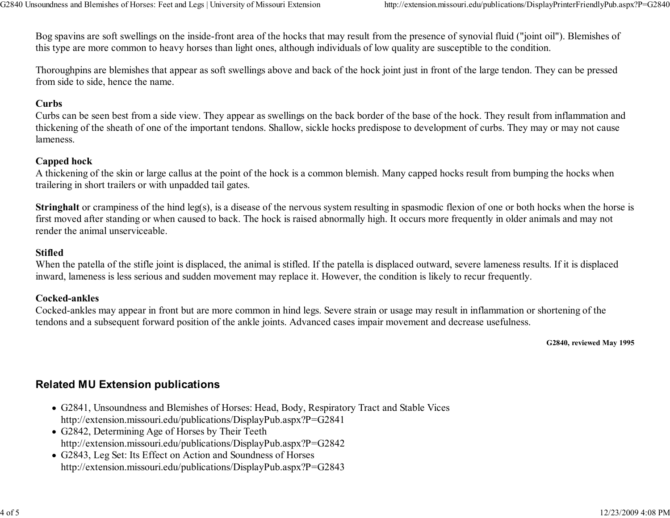Bog spavins are soft swellings on the inside-front area of the hocks that may result from the presence of synovial fluid ("joint oil"). Blemishes ofthis type are more common to heavy horses than light ones, although individuals of low quality are susceptible to the condition.

Thoroughpins are blemishes that appear as soft swellings above and back of the hock joint just in front of the large tendon. They can be pressedfrom side to side, hence the name.

## **Curbs**

 Curbs can be seen best from a side view. They appear as swellings on the back border of the base of the hock. They result from inflammation and thickening of the sheath of one of the important tendons. Shallow, sickle hocks predispose to development of curbs. They may or may not causelameness.

#### Capped hock

 A thickening of the skin or large callus at the point of the hock is a common blemish. Many capped hocks result from bumping the hocks whentrailering in short trailers or with unpadded tail gates.

Stringhalt or crampiness of the hind leg(s), is a disease of the nervous system resulting in spasmodic flexion of one or both hocks when the horse is first moved after standing or when caused to back. The hock is raised abnormally high. It occurs more frequently in older animals and may notrender the animal unserviceable.

## Stifled

 When the patella of the stifle joint is displaced, the animal is stifled. If the patella is displaced outward, severe lameness results. If it is displacedinward, lameness is less serious and sudden movement may replace it. However, the condition is likely to recur frequently.

#### Cocked-ankles

 Cocked-ankles may appear in front but are more common in hind legs. Severe strain or usage may result in inflammation or shortening of thetendons and a subsequent forward position of the ankle joints. Advanced cases impair movement and decrease usefulness.

G2840, reviewed May 1995

## Related MU Extension publications

- G2841, Unsoundness and Blemishes of Horses: Head, Body, Respiratory Tract and Stable Viceshttp://extension.missouri.edu/publications/DisplayPub.aspx?P=G2841
- G2842, Determining Age of Horses by Their Teethhttp://extension.missouri.edu/publications/DisplayPub.aspx?P=G2842
- G2843, Leg Set: Its Effect on Action and Soundness of Horseshttp://extension.missouri.edu/publications/DisplayPub.aspx?P=G2843